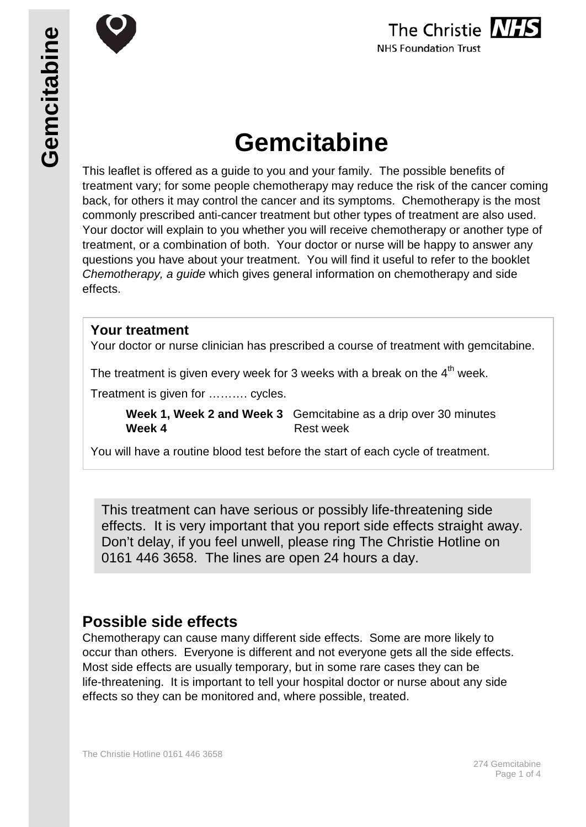

# **Gemcitabine**

This leaflet is offered as a guide to you and your family. The possible benefits of treatment vary; for some people chemotherapy may reduce the risk of the cancer coming back, for others it may control the cancer and its symptoms. Chemotherapy is the most commonly prescribed anti-cancer treatment but other types of treatment are also used. Your doctor will explain to you whether you will receive chemotherapy or another type of treatment, or a combination of both. Your doctor or nurse will be happy to answer any questions you have about your treatment. You will find it useful to refer to the booklet *Chemotherapy, a guide* which gives general information on chemotherapy and side effects.

## **Your treatment**

Your doctor or nurse clinician has prescribed a course of treatment with gemcitabine.

The treatment is given every week for 3 weeks with a break on the  $4<sup>th</sup>$  week.

Treatment is given for ………. cycles.

**Week 1, Week 2 and Week 3** Gemcitabine as a drip over 30 minutes **Week 4** Rest week

You will have a routine blood test before the start of each cycle of treatment.

This treatment can have serious or possibly life-threatening side effects. It is very important that you report side effects straight away. Don't delay, if you feel unwell, please ring The Christie Hotline on 0161 446 3658. The lines are open 24 hours a day.

# **Possible side effects**

Chemotherapy can cause many different side effects. Some are more likely to occur than others. Everyone is different and not everyone gets all the side effects. Most side effects are usually temporary, but in some rare cases they can be life-threatening. It is important to tell your hospital doctor or nurse about any side effects so they can be monitored and, where possible, treated.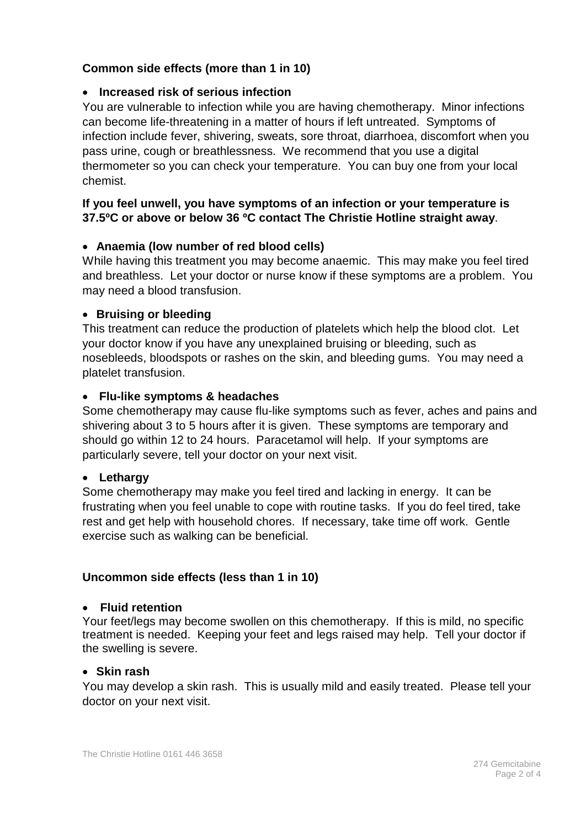#### **Common side effects (more than 1 in 10)**

#### • **Increased risk of serious infection**

You are vulnerable to infection while you are having chemotherapy. Minor infections can become life-threatening in a matter of hours if left untreated. Symptoms of infection include fever, shivering, sweats, sore throat, diarrhoea, discomfort when you pass urine, cough or breathlessness. We recommend that you use a digital thermometer so you can check your temperature. You can buy one from your local chemist.

#### **If you feel unwell, you have symptoms of an infection or your temperature is 37.5ºC or above or below 36 ºC contact The Christie Hotline straight away**.

#### • **Anaemia (low number of red blood cells)**

While having this treatment you may become anaemic. This may make you feel tired and breathless. Let your doctor or nurse know if these symptoms are a problem. You may need a blood transfusion.

#### • **Bruising or bleeding**

This treatment can reduce the production of platelets which help the blood clot. Let your doctor know if you have any unexplained bruising or bleeding, such as nosebleeds, bloodspots or rashes on the skin, and bleeding gums. You may need a platelet transfusion.

#### • **Flu-like symptoms & headaches**

Some chemotherapy may cause flu-like symptoms such as fever, aches and pains and shivering about 3 to 5 hours after it is given. These symptoms are temporary and should go within 12 to 24 hours. Paracetamol will help. If your symptoms are particularly severe, tell your doctor on your next visit.

#### • **Lethargy**

Some chemotherapy may make you feel tired and lacking in energy. It can be frustrating when you feel unable to cope with routine tasks. If you do feel tired, take rest and get help with household chores. If necessary, take time off work. Gentle exercise such as walking can be beneficial.

#### **Uncommon side effects (less than 1 in 10)**

#### • **Fluid retention**

Your feet/legs may become swollen on this chemotherapy. If this is mild, no specific treatment is needed. Keeping your feet and legs raised may help. Tell your doctor if the swelling is severe.

#### • **Skin rash**

You may develop a skin rash. This is usually mild and easily treated. Please tell your doctor on your next visit.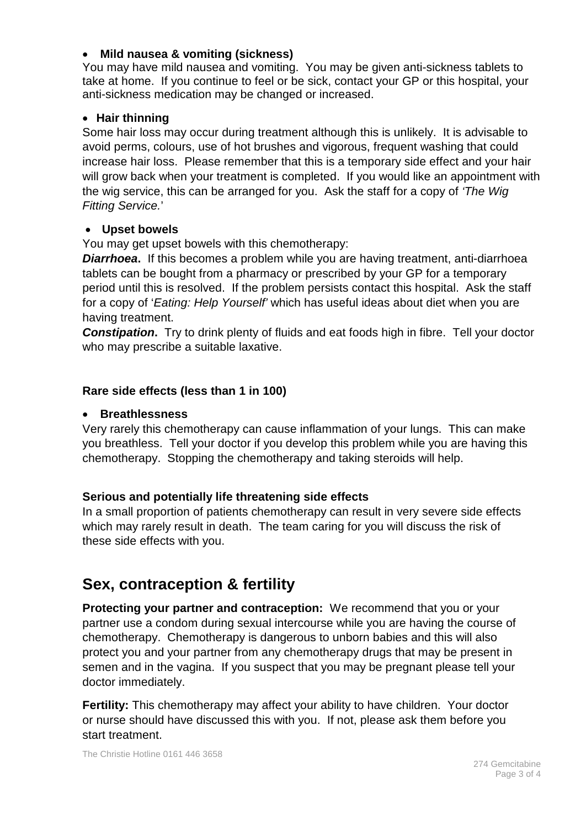#### • **Mild nausea & vomiting (sickness)**

You may have mild nausea and vomiting. You may be given anti-sickness tablets to take at home. If you continue to feel or be sick, contact your GP or this hospital, your anti-sickness medication may be changed or increased.

#### • **Hair thinning**

Some hair loss may occur during treatment although this is unlikely. It is advisable to avoid perms, colours, use of hot brushes and vigorous, frequent washing that could increase hair loss. Please remember that this is a temporary side effect and your hair will grow back when your treatment is completed. If you would like an appointment with the wig service, this can be arranged for you. Ask the staff for a copy of *'The Wig Fitting Service.*'

#### • **Upset bowels**

You may get upset bowels with this chemotherapy:

*Diarrhoea***.** If this becomes a problem while you are having treatment, anti-diarrhoea tablets can be bought from a pharmacy or prescribed by your GP for a temporary period until this is resolved. If the problem persists contact this hospital. Ask the staff for a copy of '*Eating: Help Yourself'* which has useful ideas about diet when you are having treatment.

**Constipation.** Try to drink plenty of fluids and eat foods high in fibre. Tell your doctor who may prescribe a suitable laxative.

#### **Rare side effects (less than 1 in 100)**

#### • **Breathlessness**

Very rarely this chemotherapy can cause inflammation of your lungs. This can make you breathless. Tell your doctor if you develop this problem while you are having this chemotherapy. Stopping the chemotherapy and taking steroids will help.

#### **Serious and potentially life threatening side effects**

In a small proportion of patients chemotherapy can result in very severe side effects which may rarely result in death. The team caring for you will discuss the risk of these side effects with you.

# **Sex, contraception & fertility**

**Protecting your partner and contraception:** We recommend that you or your partner use a condom during sexual intercourse while you are having the course of chemotherapy. Chemotherapy is dangerous to unborn babies and this will also protect you and your partner from any chemotherapy drugs that may be present in semen and in the vagina. If you suspect that you may be pregnant please tell your doctor immediately.

**Fertility:** This chemotherapy may affect your ability to have children. Your doctor or nurse should have discussed this with you. If not, please ask them before you start treatment.